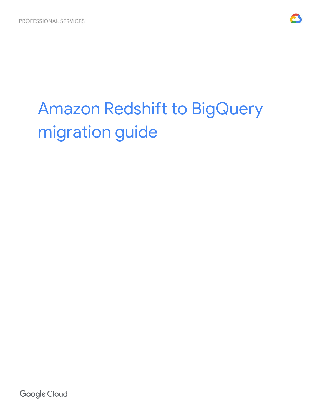

# Amazon Redshift to BigQuery migration guide

**Google Cloud**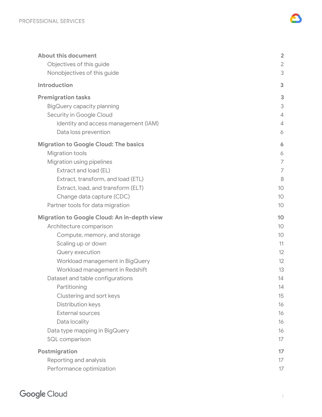| <b>About this document</b>                   | $\overline{2}$  |
|----------------------------------------------|-----------------|
| Objectives of this guide                     | $\overline{2}$  |
| Nonobjectives of this guide                  | 3               |
| Introduction                                 | 3               |
| <b>Premigration tasks</b>                    | 3               |
| BigQuery capacity planning                   | 3               |
| Security in Google Cloud                     | $\overline{4}$  |
| Identity and access management (IAM)         | $\overline{4}$  |
| Data loss prevention                         | 6               |
| <b>Migration to Google Cloud: The basics</b> | 6               |
| <b>Migration tools</b>                       | 6               |
| Migration using pipelines                    | $\overline{ }$  |
| Extract and load (EL)                        | 7               |
| Extract, transform, and load (ETL)           | 8               |
| Extract, load, and transform (ELT)           | 10              |
| Change data capture (CDC)                    | 10 <sup>°</sup> |
| Partner tools for data migration             | 10              |
| Migration to Google Cloud: An in-depth view  | 10              |
| Architecture comparison                      | 10              |
| Compute, memory, and storage                 | 10              |
| Scaling up or down                           | 11              |
| Query execution                              | 12              |
| Workload management in BigQuery              | 12              |
| Workload management in Redshift              | 13              |
| Dataset and table configurations             | 14              |
| Partitioning                                 | 14              |
| Clustering and sort keys                     | 15              |
| Distribution keys                            | 16              |
| <b>External sources</b>                      | 16              |
| Data locality                                | 16              |
| Data type mapping in BigQuery                | 16              |
| SQL comparison                               | 17              |
| Postmigration                                | 17              |
| Reporting and analysis                       | 17              |
|                                              |                 |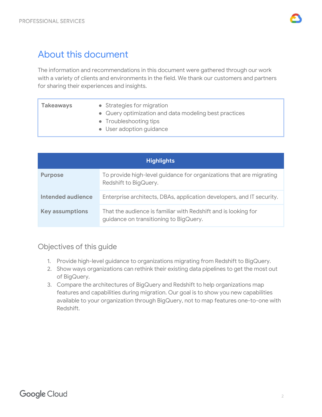

# <span id="page-2-0"></span>About this document

The information and recommendations in this document were gathered through our work with a variety of clients and environments in the field. We thank our customers and partners for sharing their experiences and insights.

| <b>Takeaways</b> | • Strategies for migration                            |
|------------------|-------------------------------------------------------|
|                  | • Query optimization and data modeling best practices |
|                  | • Troubleshooting tips                                |
|                  | • User adoption guidance                              |

| <b>Highlights</b>      |                                                                                                          |  |
|------------------------|----------------------------------------------------------------------------------------------------------|--|
| <b>Purpose</b>         | To provide high-level guidance for organizations that are migrating<br>Redshift to BigQuery.             |  |
| Intended audience      | Enterprise architects, DBAs, application developers, and IT security.                                    |  |
| <b>Key assumptions</b> | That the audience is familiar with Redshift and is looking for<br>guidance on transitioning to BigQuery. |  |

## <span id="page-2-1"></span>Objectives of this guide

- 1. Provide high-level guidance to organizations migrating from Redshift to BigQuery.
- 2. Show ways organizations can rethink their existing data pipelines to get the most out of BigQuery.
- 3. Compare the architectures of BigQuery and Redshift to help organizations map features and capabilities during migration. Our goal is to show you new capabilities available to your organization through BigQuery, not to map features one-to-one with Redshift.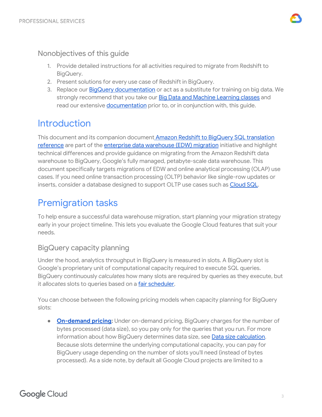

## <span id="page-3-0"></span>Nonobjectives of this guide

- 1. Provide detailed instructions for all activities required to migrate from Redshift to BigQuery.
- 2. Present solutions for every use case of Redshift in BigQuery.
- 3. Replace our **BigQuery [documentation](https://cloud.google.com/bigquery/docs/)** or act as a substitute for training on big data. We strongly recommend that you take our **Big Data and Machine [Learning](https://cloud.google.com/training/data-ml) classes** and read our extensive [documentation](https://cloud.google.com/docs) prior to, or in conjunction with, this guide.

# <span id="page-3-1"></span>**Introduction**

This document and its companion document Amazon Redshift to BigQuery SQL [translation](https://cloud.google.com/solutions/migration/dw2bq/redshift/redshift-bq-sql-translation-reference) [reference](https://cloud.google.com/solutions/migration/dw2bq/redshift/redshift-bq-sql-translation-reference) are part of the [enterprise](https://cloud.google.com/solutions/migration/dw2bq/dw-bq-migration-overview) [data](https://cloud.google.com/solutions/migration/dw2bq/dw-bq-migration-overview) [warehouse](https://cloud.google.com/solutions/migration/dw2bq/dw-bq-migration-overview) (EDW) [migration](https://cloud.google.com/solutions/migration/dw2bq/dw-bq-migration-overview) initiative and highlight technical differences and provide guidance on migrating from the Amazon Redshift data warehouse to BigQuery, Google's fully managed, petabyte-scale data warehouse. This document specifically targets migrations of EDW and online analytical processing (OLAP) use cases. If you need online transaction processing (OLTP) behavior like single-row updates or inserts, consider a database designed to support OLTP use cases such as [Cloud](https://cloud.google.com/sql/docs/) SQL.

# <span id="page-3-2"></span>Premigration tasks

To help ensure a successful data warehouse migration, start planning your migration strategy early in your project timeline. This lets you evaluate the Google Cloud features that suit your needs.

## <span id="page-3-3"></span>BigQuery capacity planning

Under the hood, analytics throughput in BigQuery is measured in slots. A BigQuery slot is Google's proprietary unit of computational capacity required to execute SQL queries. BigQuery continuously *calculates* how many slots are required by queries as they execute, but it *allocates* slots to queries based on a *fair scheduler*.

You can choose between the following pricing models when capacity planning for BigQuery slots:

**• [On-demand](https://cloud.google.com/bigquery/pricing#on_demand_pricing) pricing:** Under on-demand pricing, BigQuery charges for the number of bytes processed (data size), so you pay only for the queries that you run. For more information about how BigQuery determines data size, see Data size [calculation](https://cloud.google.com/bigquery/pricing#data). Because slots determine the underlying computational capacity, you can pay for BigQuery usage depending on the number of slots you'll need (instead of bytes processed). As a side note, by default all Google Cloud projects are limited to a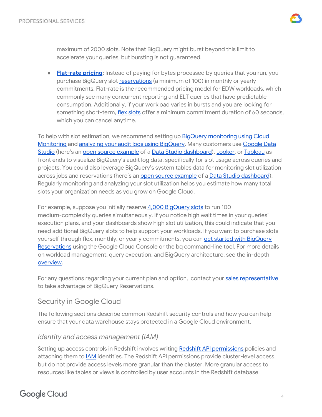

maximum of 2000 slots. Note that BigQuery might burst beyond this limit to accelerate your queries, but bursting is not guaranteed.

**● [Flat-rate](https://cloud.google.com/bigquery/pricing#flat_rate_pricing) pricing:** Instead of paying for bytes processed by queries that you run, you purchase BigQuery slot [reservations](https://cloud.google.com/bigquery/docs/reservations-intro) (a minimum of 100) in monthly or yearly commitments. Flat-rate is the recommended pricing model for EDW workloads, which commonly see many concurrent reporting and ELT queries that have predictable consumption. Additionally, if your workload varies in bursts and you are looking for something short-term, flex [slots](https://cloud.google.com/bigquery/pricing#flex-slots-pricing) offer a minimum commitment duration of 60 seconds, which you can cancel anytime.

To help with slot estimation, we recommend setting up **BigQuery [monitoring](https://cloud.google.com/bigquery/docs/monitoring) using Cloud** [Monitoring](https://cloud.google.com/bigquery/docs/monitoring) and analyzing your audit logs using [BigQuery](https://cloud.google.com/bigquery/audit-logs). Many customers use [Google](https://datastudio.google.com/) Data [Studio](https://datastudio.google.com/) (here's an open source [example](https://github.com/GoogleCloudPlatform/professional-services/tree/master/examples/bigquery-audit-log) of a Data Studio [dashboard\)](https://datastudio.google.com/c/u/0/reporting/1kwNFt05J8_GCju5TBH1v4IlBmmAU74Nu/page/nSaN), [Looker](https://looker.com/), or [Tableau](https://www.tableau.com/) as front ends to visualize BigQuery's audit log data, specifically for slot usage across queries and projects. You could also leverage BigQuery's system tables data for monitoring slot utilization across jobs and reservations (here's an open source [example](https://github.com/GoogleCloudPlatform/bigquery-utils/tree/master/dashboards/system_tables) of a Data Studio [dashboard](https://datastudio.google.com/s/kGZzZJWkeyA)). Regularly monitoring and analyzing your slot utilization helps you estimate how many total slots your organization needs as you grow on Google Cloud.

For example, suppose you initially reserve 4,000 [BigQuery](https://cloud.google.com/bigquery/docs/slots) slots to run 100 medium-complexity queries simultaneously. If you notice high wait times in your queries' execution plans, and your dashboards show high slot utilization, this could indicate that you need additional BigQuery slots to help support your workloads. If you want to purchase slots yourself through flex, monthly, or yearly commitments, you can get started with [BigQuery](https://cloud.google.com/bigquery/docs/reservations-get-started) [Reservations](https://cloud.google.com/bigquery/docs/reservations-get-started) using the Google Cloud Console or the bq command-line tool. For more details on workload management, query execution, and BigQuery architecture, see the in-depth [overview.](#page-10-3)

For any questions regarding your current plan and option, contact your sales [representative](https://cloud.google.com/contact) to take advantage of BigQuery Reservations.

## <span id="page-4-0"></span>Security in Google Cloud

The following sections describe common Redshift security controls and how you can help ensure that your data warehouse stays protected in a Google Cloud environment.

## <span id="page-4-1"></span>*Identity and access management (IAM)*

Setting up access controls in Redshift involves writing Redshift API [permissions](https://docs.aws.amazon.com/redshift/latest/mgmt/redshift-policy-resources.resource-permissions.html) policies and attaching them to [IAM](https://cloud.google.com/iam/docs/understanding-roles) identities. The Redshift API permissions provide cluster-level access, but do not provide access levels more granular than the cluster. More granular access to resources like tables or views is controlled by user accounts in the Redshift database.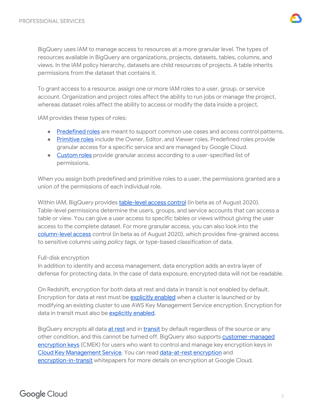

BigQuery uses IAM to manage access to resources at a more granular level. The types of resources available in BigQuery are organizations, projects, datasets, tables, columns, and views. In the IAM policy hierarchy, datasets are child resources of projects. A table inherits permissions from the dataset that contains it.

To grant access to a resource, assign one or more IAM roles to a user, group, or service account. Organization and project roles affect the ability to run jobs or manage the project, whereas dataset roles affect the ability to access or modify the data inside a project.

IAM provides these types of roles:

- [Predefined](https://cloud.google.com/bigquery/docs/access-control) roles are meant to support common use cases and access control patterns.
- [Primitive](https://cloud.google.com/bigquery/docs/access-control-primitive-roles) roles include the Owner, Editor, and Viewer roles. Predefined roles provide granular access for a specific service and are managed by Google Cloud.
- [Custom](https://cloud.google.com/iam/docs/understanding-custom-roles) roles provide granular access according to a user-specified list of permissions.

When you assign both predefined and primitive roles to a user, the permissions granted are a union of the permissions of each individual role.

Within IAM, BigQuery provides [table-level](https://cloud.google.com/bigquery/docs/table-access-controls-intro) access control (in beta as of August 2020). Table-level permissions determine the users, groups, and service accounts that can access a table or view. You can give a user access to specific tables or views without giving the user access to the complete dataset. For more granular access, you can also look into the [column-level](https://cloud.google.com/bigquery/docs/column-level-security-intro) access control (in beta as of August 2020), which provides fine-grained access to sensitive columns using *policy tags*, or type-based classification of data.

#### Full-disk encryption

In addition to identity and access management, data encryption adds an extra layer of defense for protecting data. In the case of data exposure, encrypted data will not be readable.

On Redshift, encryption for both data at rest and data in transit is not enabled by default. Encryption for data at rest must be **[explicitly](https://docs.aws.amazon.com/redshift/latest/mgmt/changing-cluster-encryption.html) enabled** when a cluster is launched or by modifying an existing cluster to use AWS Key Management Service encryption. Encryption for data in transit must also be [explicitly](https://docs.aws.amazon.com/redshift/latest/mgmt/security-encryption-in-transit.html) enabled.

BigQuery encrypts all data at [rest](https://cloud.google.com/security/encryption-at-rest/) and in [transit](https://cloud.google.com/security/encryption-in-transit/) by default regardless of the source or any other condition, and this cannot be turned off. BigQuery also supports [customer-managed](https://cloud.google.com/bigquery/docs/customer-managed-encryption) [encryption](https://cloud.google.com/bigquery/docs/customer-managed-encryption) keys (CMEK) for users who want to control and manage key encryption keys in Cloud Key [Management](https://cloud.google.com/kms/docs/) Service. You can read [data-at-rest](https://cloud.google.com/security/encryption-at-rest/default-encryption/) encryption and [encryption-in-transit](https://cloud.google.com/security/encryption-in-transit/) whitepapers for more details on encryption at Google Cloud.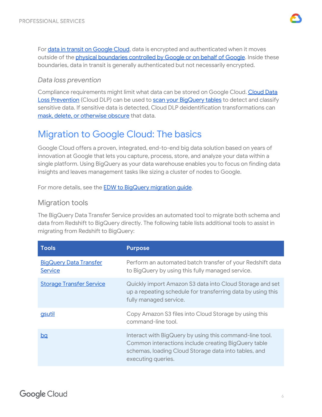

For data in transit on [Google](https://cloud.google.com/security/encryption-in-transit/) Cloud, data is encrypted and authenticated when it moves outside of the **physical [boundaries](https://cloud.google.com/security/encryption-in-transit/#physical_boundaries_of_a_network) controlled by Google or on behalf of Google**. Inside these boundaries, data in transit is generally authenticated but not necessarily encrypted.

#### <span id="page-6-0"></span>*Data loss prevention*

Compliance requirements might limit what data can be stored on Google [Cloud](https://cloud.google.com/dlp/docs/). Cloud Data Loss [Prevention](https://cloud.google.com/dlp/docs/) (Cloud DLP) can be used to scan your [BigQuery](https://cloud.google.com/bigquery/docs/scan-with-dlp) tables to detect and classify sensitive data. If sensitive data is detected, Cloud DLP deidentification transformations can mask, delete, or [otherwise](https://cloud.google.com/bigquery/docs/scan-with-dlp) obscure that data.

# <span id="page-6-1"></span>Migration to Google Cloud: The basics

Google Cloud offers a proven, integrated, end-to-end big data solution based on years of innovation at Google that lets you capture, process, store, and analyze your data within a single platform. Using BigQuery as your data warehouse enables you to focus on finding data insights and leaves management tasks like sizing a cluster of nodes to Google.

For more details, see the **EDW to BigQuery [migration](https://cloud.google.com/solutions/migration/dw2bq/dw-bq-migration-overview) quide**.

## <span id="page-6-2"></span>Migration tools

The BigQuery Data Transfer Service provides an automated tool to migrate both schema and data from Redshift to BigQuery directly. The following table lists additional tools to assist in migrating from Redshift to BigQuery:

| <b>Tools</b>                             | <b>Purpose</b>                                                                                                                                                                               |
|------------------------------------------|----------------------------------------------------------------------------------------------------------------------------------------------------------------------------------------------|
| <b>BigQuery Data Transfer</b><br>Service | Perform an automated batch transfer of your Redshift data<br>to BigQuery by using this fully managed service.                                                                                |
| <b>Storage Transfer Service</b>          | Quickly import Amazon S3 data into Cloud Storage and set<br>up a repeating schedule for transferring data by using this<br>fully managed service.                                            |
| gsutil                                   | Copy Amazon S3 files into Cloud Storage by using this<br>command-line tool.                                                                                                                  |
| <u>bq</u>                                | Interact with BigQuery by using this command-line tool.<br>Common interactions include creating BigQuery table<br>schemas, loading Cloud Storage data into tables, and<br>executing queries. |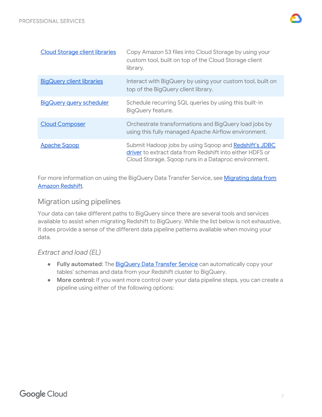

| <b>Cloud Storage client libraries</b> | Copy Amazon S3 files into Cloud Storage by using your<br>custom tool, built on top of the Cloud Storage client<br>library.                                                |
|---------------------------------------|---------------------------------------------------------------------------------------------------------------------------------------------------------------------------|
| <b>BigQuery client libraries</b>      | Interact with BigQuery by using your custom tool, built on<br>top of the BigQuery client library.                                                                         |
| <b>BigQuery query scheduler</b>       | Schedule recurring SQL queries by using this built-in<br>BigQuery feature.                                                                                                |
| <b>Cloud Composer</b>                 | Orchestrate transformations and BigQuery load jobs by<br>using this fully managed Apache Airflow environment.                                                             |
| <b>Apache Sgoop</b>                   | Submit Hadoop jobs by using Sqoop and Redshift's JDBC<br>driver to extract data from Redshift into either HDFS or<br>Cloud Storage. Sqoop runs in a Dataproc environment. |

For more information on using the BigQuery Data Transfer Service, see [Migrating](https://cloud.google.com/bigquery/docs/redshift-migration) data from Amazon [Redshift.](https://cloud.google.com/bigquery/docs/redshift-migration)

## <span id="page-7-0"></span>Migration using pipelines

Your data can take different paths to BigQuery since there are several tools and services available to assist when migrating Redshift to BigQuery. While the list below is not exhaustive, it does provide a sense of the different data pipeline patterns available when moving your data.

## <span id="page-7-1"></span>*Extract and load (EL)*

- **Fully automated**: The [BigQuery](https://cloud.google.com/bigquery/docs/redshift-migration) Data Transfer Service can automatically copy your tables' schemas and data from your Redshift cluster to BigQuery.
- **More control:** If you want more control over your data pipeline steps, you can create a pipeline using either of the following options: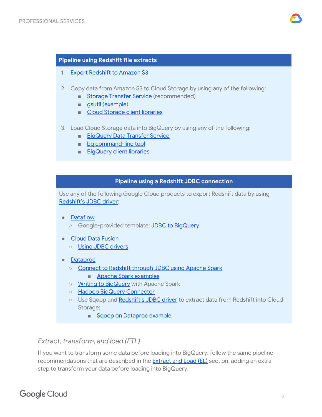

#### **Pipeline using Redshift file extracts**

- 1. Export [Redshift](https://docs.aws.amazon.com/redshift/latest/dg/t_Unloading_tables.html) to Amazon S3.
- 2. Copy data from Amazon S3 to Cloud Storage by using any of the following:
	- Storage [Transfer](https://cloud.google.com/storage/transfer/) Service (recommended)
	- [gsutil](https://cloud.google.com/storage/docs/gsutil) ([example\)](https://stackoverflow.com/a/56655440)
	- Cloud [Storage](https://cloud.google.com/storage/docs/reference/libraries) client libraries
- 3. Load Cloud Storage data into BigQuery by using any of the following:
	- [BigQuery](https://cloud.google.com/bigquery/docs/cloud-storage-transfer-overview) Data Transfer Service
	- bq [command-line](https://cloud.google.com/bigquery/bq-command-line-tool) tool
	- [BigQuery](https://cloud.google.com/bigquery/docs/reference/libraries) client libraries

#### **Pipeline using a Redshift JDBC connection**

Use any of the following Google Cloud products to export Redshift data by using [Redshift's](https://docs.aws.amazon.com/redshift/latest/mgmt/configure-jdbc-connection.html#download-jdbc-driver) JDBC driver:

- [Dataflow](https://cloud.google.com/dataflow/docs/)
	- Google-provided template: JDBC to [BigQuery](https://cloud.google.com/dataflow/docs/guides/templates/provided-batch#java-database-connectivity-jdbc-to-bigquery)
- Cloud Data [Fusion](https://cloud.google.com/data-fusion/docs/)
	- Using JDBC [drivers](https://cloud.google.com/data-fusion/docs/how-to/using-jdbc-drivers)
- [Dataproc](https://cloud.google.com/dataproc/docs/)
	- [Connect](https://docs.databricks.com/spark/latest/data-sources/aws/amazon-redshift.html) to Redshift through JDBC using Apache Spark
		- Apache Spark [examples](https://spark.apache.org/docs/latest/sql-data-sources-jdbc.html)
	- o Writing to [BigQuery](https://cloud.google.com/dataproc/docs/tutorials/bigquery-connector-spark-example#reading_and_writing_data_from_bigquery) with Apache Spark
	- Hadoop BigQuery [Connector](https://cloud.google.com/dataproc/docs/concepts/connectors/bigquery)
	- Use Sqoop and [Redshift's](https://docs.aws.amazon.com/redshift/latest/mgmt/configure-jdbc-connection.html#download-jdbc-driver) JDBC driver to extract data from Redshift into Cloud Storage:
		- Sqoop on [Dataproc](https://medium.com/google-cloud/moving-data-with-apache-sqoop-in-google-cloud-dataproc-4056b8fa2600) example

#### <span id="page-8-0"></span>*Extract, transform, and load (ETL)*

If you want to transform some data before loading into BigQuery, follow the same pipeline recommendations that are described in the [Extract](#page-7-1) and Load (EL) section, adding an extra step to transform your data before loading into BigQuery.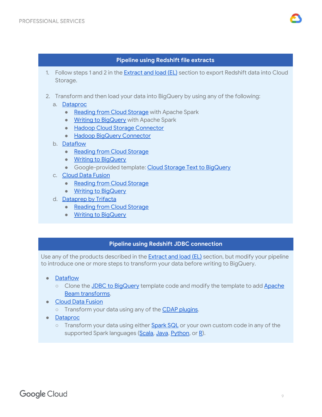

#### **Pipeline using Redshift file extracts**

- 1. Follow steps 1 and 2 in the **[Extract](#page-7-1) and load (EL)** section to export Redshift data into Cloud Storage.
- 2. Transform and then load your data into BigQuery by using any of the following:
	- a. [Dataproc](https://cloud.google.com/dataproc/docs/)
		- [Reading](https://cloud.google.com/dataproc/docs/tutorials/gcs-connector-spark-tutorial#prepare_the_spark_wordcount_job) from Cloud Storage with Apache Spark
		- Writing to [BigQuery](https://cloud.google.com/dataproc/docs/tutorials/bigquery-connector-spark-example#reading_and_writing_data_from_bigquery) with Apache Spark
		- Hadoop Cloud Storage [Connector](https://cloud.google.com/dataproc/docs/concepts/connectors/cloud-storage)
		- Hadoop BigQuery [Connector](https://cloud.google.com/dataproc/docs/concepts/connectors/bigquery)
	- b. [Dataflow](https://cloud.google.com/dataflow/docs/)
		- [Reading](https://beam.apache.org/documentation/programming-guide/#pipeline-io-reading-data) from Cloud Storage
		- Writing to [BigQuery](https://beam.apache.org/documentation/io/built-in/google-bigquery/#writing-to-a-table)
		- Google-provided template: Cloud Storage Text to [BigQuery](https://cloud.google.com/dataflow/docs/guides/templates/provided-batch#gcstexttobigquery)
	- c. Cloud Data [Fusion](https://cloud.google.com/data-fusion/docs/)
		- [Reading](https://cloud.google.com/data-fusion/docs/tutorials/targeting-campaign-pipeline#load_the_customer_data) from Cloud Storage
		- Writing to [BigQuery](https://cloud.google.com/data-fusion/docs/tutorials/targeting-campaign-pipeline#store_the_output_to)
	- d. [Dataprep](https://cloud.google.com/dataprep/docs/) by Trifacta
		- [Reading](https://cloud.google.com/dataprep/docs/html/Using-Google-Cloud-Storage_59736094#reading-from-sources) from Cloud Storage
		- Writing to [BigQuery](https://cloud.google.com/dataprep/docs/html/Using-BigQuery_59736092#writing-to-bigquery)

#### **Pipeline using Redshift JDBC connection**

Use any of the products described in the [Extract](#page-7-1) and load (EL) section, but modify your pipeline to introduce one or more steps to transform your data before writing to BigQuery.

- **[Dataflow](https://cloud.google.com/dataflow/docs/)** 
	- Clone the JDBC to [BigQuery](https://cloud.google.com/dataflow/docs/guides/templates/provided-batch#java-database-connectivity-jdbc-to-bigquery) template code and modify the template to add [Apache](https://beam.apache.org/documentation/programming-guide/#transforms) Beam [transforms.](https://beam.apache.org/documentation/programming-guide/#transforms)
- Cloud Data [Fusion](https://cloud.google.com/data-fusion/docs/)
	- o Transform your data using any of the CDAP [plugins](https://cdap.io/resources/plugins/).
- [Dataproc](https://cloud.google.com/dataproc/docs/)
	- Transform your data using either **[Spark](https://spark.apache.org/docs/latest/sql-programming-guide.html) SQL** or your own custom code in any of the supported Spark languages ([Scala,](https://spark.apache.org/docs/latest/api/scala/index.html#org.apache.spark.package) [Java,](https://spark.apache.org/docs/latest/api/java/index.html) [Python,](https://spark.apache.org/docs/latest/api/python/index.html) or [R\)](https://spark.apache.org/docs/latest/api/R/index.html).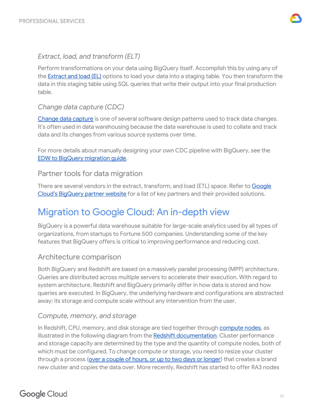

#### <span id="page-10-0"></span>*Extract, load, and transform (ELT)*

Perform transformations on your data using BigQuery itself. Accomplish this by using any of the [Extract](#page-7-1) and load (EL) options to load your data into a staging table. You then transform the data in this staging table using SQL queries that write their output into your final production table.

## <span id="page-10-1"></span>*Change data capture (CDC)*

[Change](https://wikipedia.org/wiki/Change_data_capture) data capture is one of several software design patterns used to track data changes. It's often used in data warehousing because the data warehouse is used to collate and track data and its changes from various source systems over time.

For more details about manually designing your own CDC pipeline with BigQuery, see the EDW to BigQuery [migration](https://cloud.google.com/solutions/migration/td2bq/td-bq-data-pipelines#cdc) guide.

## <span id="page-10-2"></span>Partner tools for data migration

There are several vendors in the extract, transform, and load (ETL) space. Refer to [Google](https://cloud.google.com/bigquery/partners/) Cloud's [BigQuery](https://cloud.google.com/bigquery/partners/) partner website for a list of key partners and their provided solutions.

# <span id="page-10-3"></span>Migration to Google Cloud: An in-depth view

BigQuery is a powerful data warehouse suitable for large-scale analytics used by all types of organizations, from startups to Fortune 500 companies. Understanding some of the key features that BigQuery offers is critical to improving performance and reducing cost.

## <span id="page-10-4"></span>Architecture comparison

Both BigQuery and Redshift are based on a massively parallel processing (MPP) architecture. Queries are distributed across multiple servers to accelerate their execution. With regard to system architecture, Redshift and BigQuery primarily differ in how data is stored and how queries are executed. In BigQuery, the underlying hardware and configurations are abstracted away; its storage and compute scale without any intervention from the user.

#### <span id="page-10-5"></span>*Compute, memory, and storage*

In Redshift, CPU, memory, and disk storage are tied together through [compute](https://docs.aws.amazon.com/redshift/latest/dg/c_high_level_system_architecture.html) nodes, as illustrated in the following diagram from the Redshift [documentation](https://docs.aws.amazon.com/redshift/latest/dg/c_high_level_system_architecture.html). Cluster performance and storage capacity are determined by the type and the quantity of compute nodes, both of which must be configured. To change compute or storage, you need to resize your cluster through a process (over a [couple](https://docs.aws.amazon.com/redshift/latest/mgmt/managing-cluster-operations.html) of hours, or up to two days or longer) that creates a brand new cluster and copies the data over. More recently, Redshift has started to offer RA3 nodes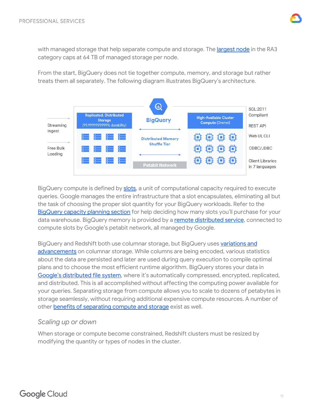

with managed storage that help separate compute and storage. The *[largest](https://aws.amazon.com/about-aws/whats-new/2020/04/amazon-redshift-launches-nodes-managed-storage/) node* in the RA3 category caps at 64 TB of managed storage per node.

From the start, BigQuery does not tie together compute, memory, and storage but rather treats them all separately. The following diagram illustrates BigQuery's architecture.



BigQuery compute is defined by [slots,](https://cloud.google.com/bigquery/docs/slots) a unit of computational capacity required to execute queries. Google manages the entire infrastructure that a slot encapsulates, eliminating all but the task of choosing the proper slot quantity for your BigQuery workloads. Refer to the [BigQuery](#page-3-3) capacity planning section for help deciding how many slots you'll purchase for your data warehouse. BigQuery memory is provided by a remote [distributed](https://cloud.google.com/blog/products/gcp/in-memory-query-execution-in-google-bigquery) service, connected to compute slots by Google's petabit network, all managed by Google.

BigQuery and Redshift both use columnar storage, but BigQuery uses [variations](https://cloud.google.com/blog/products/gcp/inside-capacitor-bigquerys-next-generation-columnar-storage-format) and [advancements](https://cloud.google.com/blog/products/gcp/inside-capacitor-bigquerys-next-generation-columnar-storage-format) on columnar storage. While columns are being encoded, various statistics about the data are persisted and later are used during query execution to compile optimal plans and to choose the most efficient runtime algorithm. BigQuery stores your data in Google's [distributed](https://cloud.google.com/files/storage_architecture_and_challenges.pdf) file system, where it's automatically compressed, encrypted, replicated, and distributed. This is all accomplished without affecting the computing power available for your queries. Separating storage from compute allows you to scale to dozens of petabytes in storage seamlessly, without requiring additional expensive compute resources. A number of other benefits of [separating](https://cloud.google.com/blog/products/gcp/separation-of-compute-and-state-in-google-bigquery-and-cloud-dataflow-and-why-it-matters) compute and storage exist as well.

#### <span id="page-11-0"></span>*Scaling up or down*

When storage or compute become constrained, Redshift clusters must be resized by modifying the quantity or types of nodes in the cluster.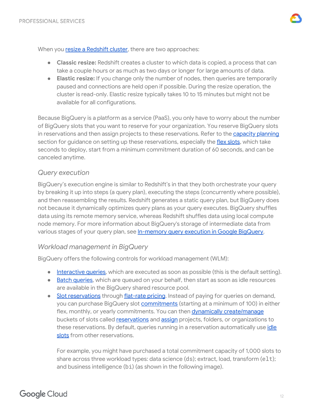When you resize a [Redshift](https://docs.aws.amazon.com/redshift/latest/mgmt/managing-cluster-operations.html) cluster, there are two approaches:

- **Classic resize:** Redshift creates a cluster to which data is copied, a process that can take a couple hours or as much as two days or longer for large amounts of data.
- **Elastic resize:** If you change only the number of nodes, then queries are temporarily paused and connections are held open if possible. During the resize operation, the cluster is read-only. Elastic resize typically takes 10 to 15 minutes but might not be available for all configurations.

Because BigQuery is a platform as a service (PaaS), you only have to worry about the number of BigQuery slots that you want to reserve for your organization. You reserve BigQuery slots in reservations and then assign projects to these reservations. Refer to the [capacity](#page-3-3) planning section for guidance on setting up these reservations, especially the flex [slots](https://cloud.google.com/blog/products/data-analytics/introducing-bigquery-flex-slots), which take seconds to deploy, start from a minimum commitment duration of 60 seconds, and can be canceled anytime.

#### <span id="page-12-0"></span>*Query execution*

BigQuery's execution engine is similar to Redshift's in that they both orchestrate your query by breaking it up into steps (a query plan), executing the steps (concurrently where possible), and then reassembling the results. Redshift generates a static query plan, but BigQuery does not because it dynamically optimizes query plans as your query executes. BigQuery shuffles data using its remote memory service, whereas Redshift shuffles data using local compute node memory. For more information about BigQuery's storage of intermediate data from various stages of your query plan, see [In-memory](https://cloud.google.com/blog/products/gcp/in-memory-query-execution-in-google-bigquery) query execution in Google BigQuery.

#### <span id="page-12-1"></span>*Workload management in BigQuery*

BigQuery offers the following controls for workload management (WLM):

- **[Interactive](https://cloud.google.com/bigquery/docs/running-queries#queries) queries**, which are executed as soon as possible (this is the default setting).
- Batch [queries](https://cloud.google.com/bigquery/docs/running-queries#batch), which are queued on your behalf, then start as soon as idle resources are available in the BigQuery shared resource pool.
- Slot [reservations](https://cloud.google.com/bigquery/docs/reservations-intro) through [flat-rate](https://cloud.google.com/bigquery/pricing#flat_rate_pricing) pricing. Instead of paying for queries on demand, you can purchase BigQuery slot [commitments](https://cloud.google.com/bigquery/docs/reservations-intro#commitments) (starting at a minimum of 100) in either flex, monthly, or yearly commitments. You can then dynamically [create/manage](https://cloud.google.com/bigquery/docs/reservations-tasks#create_a_reservation_with_dedicated_slots) buckets of slots called [reservations](https://cloud.google.com/bigquery/docs/reservations-intro#reservations) and [assign](https://cloud.google.com/bigquery/docs/reservations-tasks#assign_my_prod_project_to_prod_reservation) projects, folders, or organizations to these reservations. By default, queries running in a reservation automatically use *[idle](https://cloud.google.com/bigquery/docs/reservations-intro#idle_slots)* [slots](https://cloud.google.com/bigquery/docs/reservations-intro#idle_slots) from other reservations.

For example, you might have purchased a total commitment capacity of 1,000 slots to share across three workload types: data science (ds); extract, load, transform (elt); and business intelligence (bi) (as shown in the following image).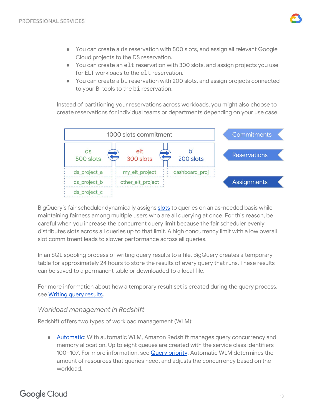

- You can create a ds reservation with 500 slots, and assign all relevant Google Cloud projects to the DS reservation.
- You can create an elt reservation with 300 slots, and assign projects you use for ELT workloads to the elt reservation.
- You can create a bi reservation with 200 slots, and assign projects connected to your BI tools to the bi reservation.

Instead of partitioning your reservations across workloads, you might also choose to create reservations for individual teams or departments depending on your use case.



BigQuery's fair scheduler dynamically assigns [slots](https://cloud.google.com/bigquery/docs/slots) to queries on an as-needed basis while maintaining fairness among multiple users who are all querying at once. For this reason, be careful when you increase the concurrent query limit because the fair scheduler evenly distributes slots across all queries up to that limit. A high concurrency limit with a low overall slot commitment leads to slower performance across all queries.

In an SQL spooling process of writing query results to a file, BigQuery creates a temporary table for approximately 24 hours to store the results of every query that runs. These results can be saved to a permanent table or downloaded to a local file.

For more information about how a temporary result set is created during the query process, see [Writing](https://cloud.google.com/bigquery/docs/writing-results) query results.

#### <span id="page-13-0"></span>*Workload management in Redshift*

Redshift offers two types of workload management (WLM):

● [Automatic](https://docs.aws.amazon.com/redshift/latest/dg/automatic-wlm.html): With automatic WLM, Amazon Redshift manages query concurrency and memory allocation. Up to eight queues are created with the service class identifiers 100-107. For more information, see **Query [priority](https://docs.aws.amazon.com/redshift/latest/dg/query-priority.html)**. Automatic WLM determines the amount of resources that queries need, and adjusts the concurrency based on the workload.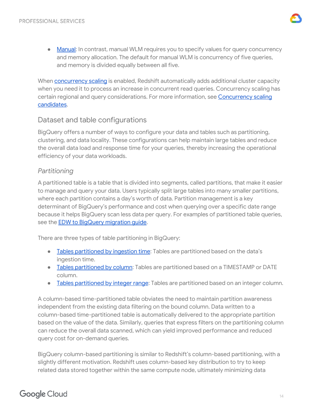

● [Manual:](https://docs.aws.amazon.com/redshift/latest/dg/cm-c-defining-query-queues.html) In contrast, manual WLM requires you to specify values for query concurrency and memory allocation. The default for manual WLM is concurrency of five queries, and memory is divided equally between all five.

When **[concurrency](https://docs.aws.amazon.com/redshift/latest/dg/concurrency-scaling.html) scaling** is enabled, Redshift automatically adds additional cluster capacity when you need it to process an increase in concurrent read queries. Concurrency scaling has certain regional and query considerations. For more information, see [Concurrency](https://docs.aws.amazon.com/redshift/latest/dg/concurrency-scaling.html) scaling [candidates.](https://docs.aws.amazon.com/redshift/latest/dg/concurrency-scaling.html)

## <span id="page-14-0"></span>Dataset and table configurations

BigQuery offers a number of ways to configure your data and tables such as partitioning, clustering, and data locality. These configurations can help maintain large tables and reduce the overall data load and response time for your queries, thereby increasing the operational efficiency of your data workloads.

## <span id="page-14-1"></span>*Partitioning*

A partitioned table is a table that is divided into segments, called partitions, that make it easier to manage and query your data. Users typically split large tables into many smaller partitions, where each partition contains a day's worth of data. Partition management is a key determinant of BigQuery's performance and cost when querying over a specific date range because it helps BigQuery scan less data per query. For examples of partitioned table queries, see the EDW to BigQuery [migration](https://cloud.google.com/solutions/migration/dw2bq/dw-bq-performance-optimization#partitioning) guide.

There are three types of table partitioning in BigQuery:

- Tables [partitioned](https://cloud.google.com/bigquery/docs/creating-partitioned-tables) by ingestion time[:](https://cloud.google.com/bigquery/docs/creating-partitioned-tables) Tables are partitioned based on the data's ingestion time.
- Tables [partitioned](https://cloud.google.com/bigquery/docs/partitioned-tables#partitioned_tables) by column: Tables are partitioned based on a TIMESTAMP or DATE column.
- Tables [partitioned](https://cloud.google.com/bigquery/docs/creating-integer-range-partitions) by integer range: Tables are partitioned based on an integer column.

A column-based time-partitioned table obviates the need to maintain partition awareness independent from the existing data filtering on the bound column. Data written to a column-based time-partitioned table is automatically delivered to the appropriate partition based on the value of the data. Similarly, queries that express filters on the partitioning column can reduce the overall data scanned, which can yield improved performance and reduced query cost for on-demand queries.

BigQuery column-based partitioning is similar to Redshift's column-based partitioning, with a slightly different motivation. Redshift uses column-based key distribution to try to keep related data stored together within the same compute node, ultimately minimizing data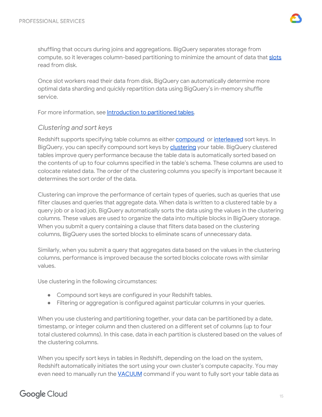

shuffling that occurs during joins and aggregations. BigQuery separates storage from compute, so it leverages column-based partitioning to minimize the amount of data that [slots](https://cloud.google.com/bigquery/docs/slots) read from disk.

Once slot workers read their data from disk, BigQuery can automatically determine more optimal data sharding and quickly repartition data using BigQuery's in-memory shuffle service.

For more information, see [Introduction](https://cloud.google.com/bigquery/docs/partitioned-tables) to partitioned tables.

#### <span id="page-15-0"></span>*Clustering and sort keys*

Redshift supports specifying table columns as either [compound](https://docs.aws.amazon.com/redshift/latest/dg/t_Sorting_data.html#t_Sorting_data-compound) or [interleaved](https://docs.aws.amazon.com/redshift/latest/dg/t_Sorting_data.html#t_Sorting_data-interleaved) sort keys. In BigQuery, you can specify compound sort keys by [clustering](https://cloud.google.com/bigquery/docs/clustered-tables#overview) your table. BigQuery clustered tables improve query performance because the table data is automatically sorted based on the contents of up to four columns specified in the table's schema. These columns are used to colocate related data. The order of the clustering columns you specify is important because it determines the sort order of the data.

Clustering can improve the performance of certain types of queries, such as queries that use filter clauses and queries that aggregate data. When data is written to a clustered table by a query job or a load job, BigQuery automatically sorts the data using the values in the clustering columns. These values are used to organize the data into multiple blocks in BigQuery storage. When you submit a query containing a clause that filters data based on the clustering columns, BigQuery uses the sorted blocks to eliminate scans of unnecessary data.

Similarly, when you submit a query that aggregates data based on the values in the clustering columns, performance is improved because the sorted blocks colocate rows with similar values.

Use clustering in the following circumstances:

- Compound sort keys are configured in your Redshift tables.
- Filtering or aggregation is configured against particular columns in your queries.

When you use clustering and partitioning together, your data can be partitioned by a date, timestamp, or integer column and then clustered on a different set of columns (up to four total clustered columns). In this case, data in each partition is clustered based on the values of the clustering columns.

When you specify sort keys in tables in Redshift, depending on the load on the system, Redshift automatically initiates the sort using your own cluster's compute capacity. You may even need to manually run the [VACUUM](https://docs.aws.amazon.com/redshift/latest/dg/r_VACUUM_command.html) command if you want to fully sort your table data as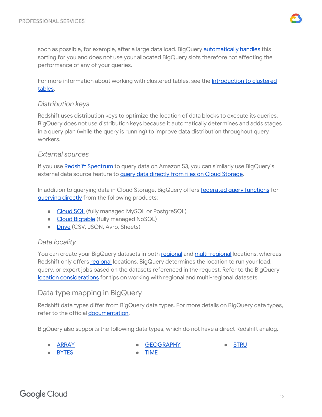

soon as possible, for example, after a large data load. BigQuery **[automatically](https://cloud.google.com/bigquery/docs/clustered-tables#automatic_re-clustering) handles** this sorting for you and does not use your allocated BigQuery slots therefore not affecting the performance of any of your queries.

For more information about working with clustered tables, see the **[Introduction](https://cloud.google.com/bigquery/docs/clustered-tables) to clustered** [tables](https://cloud.google.com/bigquery/docs/clustered-tables).

#### <span id="page-16-0"></span>*Distribution keys*

Redshift uses distribution keys to optimize the location of data blocks to execute its queries. BigQuery does not use distribution keys because it automatically determines and adds stages in a query plan (while the query is running) to improve data distribution throughout query workers.

#### <span id="page-16-1"></span>*External sources*

If you use Redshift [Spectrum](https://docs.aws.amazon.com/redshift/latest/dg/c-using-spectrum.html) to query data on Amazon S3, you can similarly use BigQuery's external data source feature to query data directly from files on Cloud [Storage.](https://cloud.google.com/bigquery/external-data-cloud-storage)

In addition to querying data in Cloud Storage, BigQuery offers [federated](https://cloud.google.com/bigquery/docs/reference/standard-sql/federated_query_functions) query functions for [querying](https://cloud.google.com/bigquery/external-data-sources) directly from the following products:

- [Cloud](https://cloud.google.com/bigquery/docs/cloud-sql-federated-queries) SQL (fully managed MySQL or PostgreSQL)
- Cloud [Bigtable](https://cloud.google.com/bigquery/external-data-bigtable) (fully managed NoSQL)
- [Drive](https://cloud.google.com/bigquery/external-data-drive) (CSV, JSON, Avro, Sheets)

#### <span id="page-16-2"></span>*Data locality*

You can create your BigQuery datasets in both [regional](https://cloud.google.com/bigquery/docs/locations#regional-locations) and [multi-regional](https://cloud.google.com/bigquery/docs/locations#multi-regional-locations) locations, whereas Redshift only offers [regional](https://docs.aws.amazon.com/redshift/latest/mgmt/working-with-clusters.html#az-considerations) locations. BigQuery determines the location to run your load, query, or export jobs based on the datasets referenced in the request. Refer to the BigQuery location [considerations](https://cloud.google.com/bigquery/docs/locations#data-locations) for tips on working with regional and multi-regional datasets.

## <span id="page-16-3"></span>Data type mapping in BigQuery

Redshift data types differ from BigQuery data types. For more details on BigQuery data types, refer to the official [documentation](https://cloud.google.com/bigquery/docs/reference/standard-sql/data-types).

BigQuery also supports the following data types, which do not have a direct Redshift analog.

**[ARRAY](https://cloud.google.com/bigquery/docs/reference/standard-sql/data-types#array-type)** 

**[GEOGRAPHY](https://cloud.google.com/bigquery/docs/reference/standard-sql/data-types#geography-type)** 

**[TIME](https://cloud.google.com/bigquery/docs/reference/standard-sql/data-types#time-type)** 

**[STRU](https://cloud.google.com/bigquery/docs/reference/standard-sql/data-types#struct-type)** 

- [BYTES](https://cloud.google.com/bigquery/docs/reference/standard-sql/data-types#bytes-type)
- **Google Cloud**